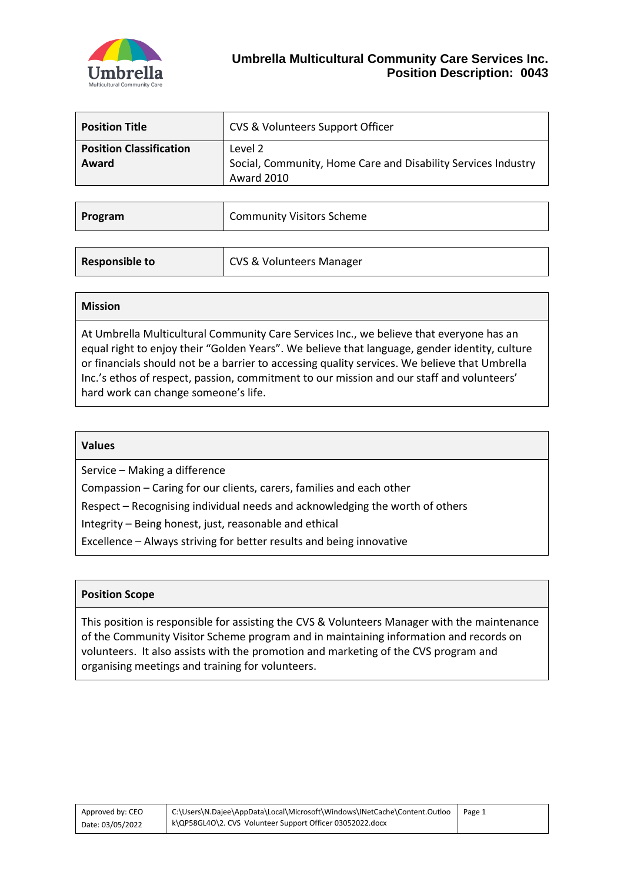

| <b>Position Title</b>                   | CVS & Volunteers Support Officer                                                       |
|-----------------------------------------|----------------------------------------------------------------------------------------|
| <b>Position Classification</b><br>Award | Level 2<br>Social, Community, Home Care and Disability Services Industry<br>Award 2010 |

| Program               | <b>Community Visitors Scheme</b>    |
|-----------------------|-------------------------------------|
|                       |                                     |
| <b>Responsible to</b> | <b>CVS &amp; Volunteers Manager</b> |

At Umbrella Multicultural Community Care Services Inc., we believe that everyone has an equal right to enjoy their "Golden Years". We believe that language, gender identity, culture or financials should not be a barrier to accessing quality services. We believe that Umbrella Inc.'s ethos of respect, passion, commitment to our mission and our staff and volunteers' hard work can change someone's life.

| <b>Values</b> |
|---------------|
|---------------|

Service – Making a difference

Compassion – Caring for our clients, carers, families and each other

Respect – Recognising individual needs and acknowledging the worth of others

Integrity – Being honest, just, reasonable and ethical

Excellence – Always striving for better results and being innovative

#### **Position Scope**

This position is responsible for assisting the CVS & Volunteers Manager with the maintenance of the Community Visitor Scheme program and in maintaining information and records on volunteers. It also assists with the promotion and marketing of the CVS program and organising meetings and training for volunteers.

| Approved by: CEO |  |
|------------------|--|
| Date: 03/05/2022 |  |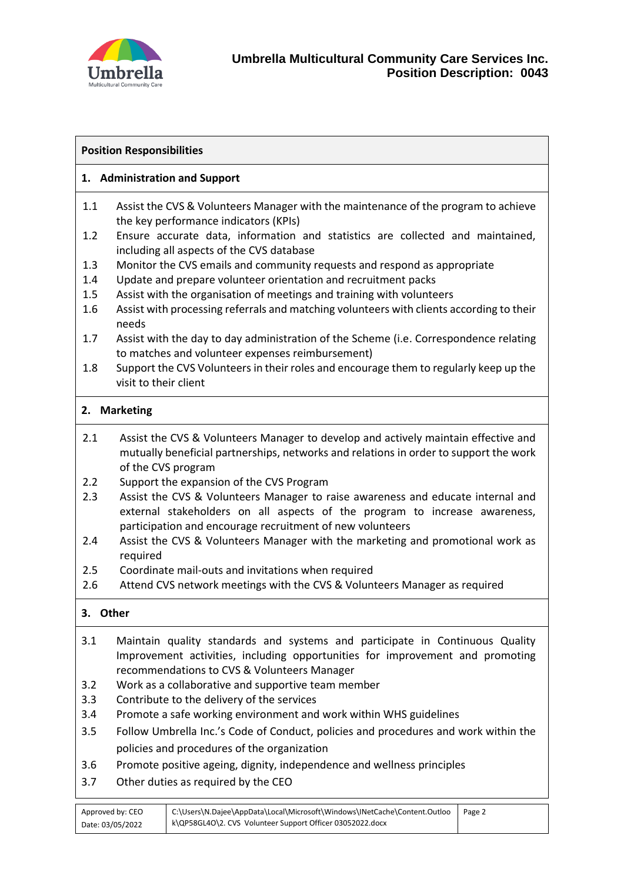

# **Position Responsibilities**

# **1. Administration and Support**

- 1.1 Assist the CVS & Volunteers Manager with the maintenance of the program to achieve the key performance indicators (KPIs)
- 1.2 Ensure accurate data, information and statistics are collected and maintained, including all aspects of the CVS database
- 1.3 Monitor the CVS emails and community requests and respond as appropriate
- 1.4 Update and prepare volunteer orientation and recruitment packs
- 1.5 Assist with the organisation of meetings and training with volunteers
- 1.6 Assist with processing referrals and matching volunteers with clients according to their needs
- 1.7 Assist with the day to day administration of the Scheme (i.e. Correspondence relating to matches and volunteer expenses reimbursement)
- 1.8 Support the CVS Volunteers in their roles and encourage them to regularly keep up the visit to their client

### **2. Marketing**

- 2.1 Assist the CVS & Volunteers Manager to develop and actively maintain effective and mutually beneficial partnerships, networks and relations in order to support the work of the CVS program
- 2.2 Support the expansion of the CVS Program
- 2.3 Assist the CVS & Volunteers Manager to raise awareness and educate internal and external stakeholders on all aspects of the program to increase awareness, participation and encourage recruitment of new volunteers
- 2.4 Assist the CVS & Volunteers Manager with the marketing and promotional work as required
- 2.5 Coordinate mail-outs and invitations when required
- 2.6 Attend CVS network meetings with the CVS & Volunteers Manager as required

### **3. Other**

- 3.1 Maintain quality standards and systems and participate in Continuous Quality Improvement activities, including opportunities for improvement and promoting recommendations to CVS & Volunteers Manager
- 3.2 Work as a collaborative and supportive team member
- 3.3 Contribute to the delivery of the services
- 3.4 Promote a safe working environment and work within WHS guidelines
- 3.5 Follow Umbrella Inc.'s Code of Conduct, policies and procedures and work within the policies and procedures of the organization
- 3.6 Promote positive ageing, dignity, independence and wellness principles
- 3.7 Other duties as required by the CEO

| Approved by: CEO | C:\Users\N.Dajee\AppData\Local\Microsoft\Windows\INetCache\Content.Outloo | Page 2 |
|------------------|---------------------------------------------------------------------------|--------|
| Date: 03/05/2022 | k\QP58GL4O\2. CVS_Volunteer Support Officer 03052022.docx                 |        |